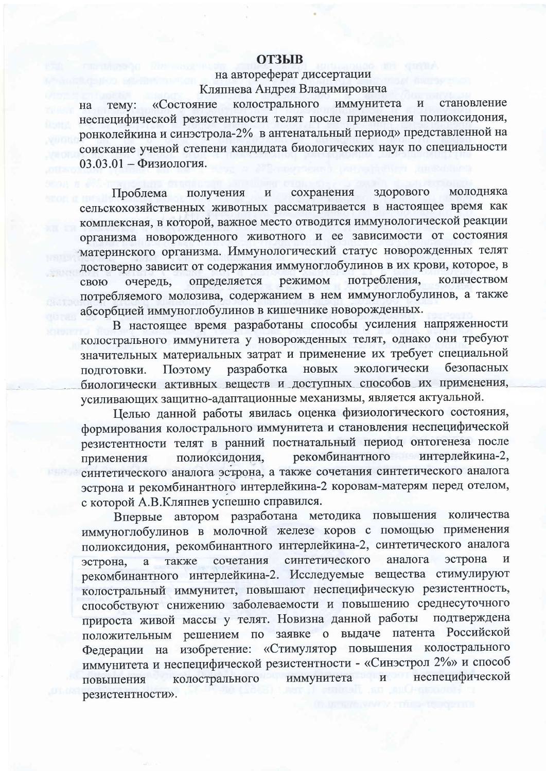## **ОТЗЫВ**

## на автореферат диссертации Кляпнева Андрея Владимировича

колострального иммунитета «Состояние становление Temy:  $\overline{\mathbf{M}}$ на неспецифической резистентности телят после применения полиоксидония, ронколейкина и синэстрола-2% в антенатальный период» представленной на соискание ученой степени кандидата биологических наук по специальности  $03.03.01 - \Phi$ изиология.

сохранения здорового молодняка Проблема получения  $\mathbf H$ сельскохозяйственных животных рассматривается в настоящее время как комплексная, в которой, важное место отводится иммунологической реакции организма новорожденного животного и ее зависимости от состояния материнского организма. Иммунологический статус новорожденных телят достоверно зависит от содержания иммуноглобулинов в их крови, которое, в потребления, режимом количеством определяется очередь, свою потребляемого молозива, содержанием в нем иммуноглобулинов, а также абсорбцией иммуноглобулинов в кишечнике новорожденных.

В настоящее время разработаны способы усиления напряженности колострального иммунитета у новорожденных телят, однако они требуют значительных материальных затрат и применение их требует специальной экологически безопасных Поэтому разработка новых подготовки. биологически активных веществ и доступных способов их применения, усиливающих защитно-адаптационные механизмы, является актуальной.

Целью данной работы явилась оценка физиологического состояния, формирования колострального иммунитета и становления неспецифической резистентности телят в ранний постнатальный период онтогенеза после рекомбинантного интерлейкина-2, полиоксидония, применения синтетического аналога эстрона, а также сочетания синтетического аналога эстрона и рекомбинантного интерлейкина-2 коровам-матерям перед отелом, с которой А.В.Кляпнев успешно справился.

Впервые автором разработана методика повышения количества иммуноглобулинов в молочной железе коров с помощью применения полиоксидония, рекомбинантного интерлейкина-2, синтетического аналога синтетического эстрона сочетания аналога  $\overline{\mathbf{M}}$ также эстрона, a рекомбинантного интерлейкина-2. Исследуемые вещества стимулируют колостральный иммунитет, повышают неспецифическую резистентность, способствуют снижению заболеваемости и повышению среднесуточного прироста живой массы у телят. Новизна данной работы подтверждена заявке о выдаче патента Российской положительным решением по Федерации на изобретение: «Стимулятор повышения колострального иммунитета и неспецифической резистентности - «Синэстрол 2%» и способ колострального неспецифической иммунитета  $\overline{M}$ повышения резистентности».